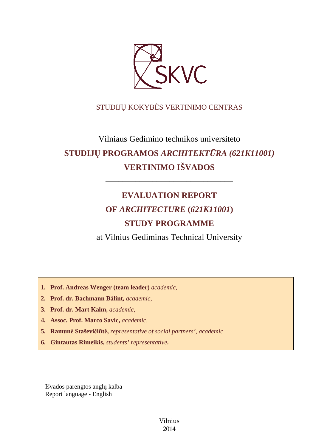

## STUDIJŲ KOKYBĖS VERTINIMO CENTRAS

# Vilniaus Gedimino technikos universiteto **STUDIJŲ PROGRAMOS** *ARCHITEKTŪRA (621K11001)* **VERTINIMO IŠVADOS**

# **EVALUATION REPORT OF** *ARCHITECTURE* **(***621K11001***) STUDY PROGRAMME**

––––––––––––––––––––––––––––––

at Vilnius Gediminas Technical University

**1. Prof. Andreas Wenger (team leader)** *academic,*

- **2. Prof. dr. Bachmann Bálint***, academic,*
- **3. Prof. dr. Mart Kalm,** *academic,*
- **4. Assoc. Prof. Marco Savic,** *academic,*
- **5. Ramunė Staševičiūtė,** *representative of social partners', academic*
- **6. Gintautas Rimeikis,** *students' representative***.**

Išvados parengtos anglų kalba Report language - English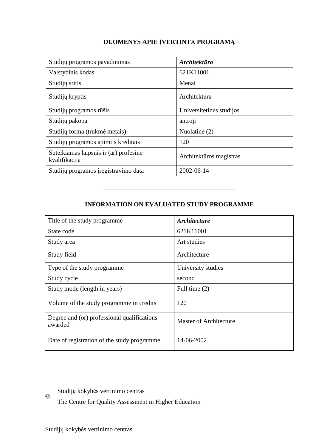## **DUOMENYS APIE ĮVERTINTĄ PROGRAMĄ**

| Studijų programos pavadinimas                           | <b>Architektūra</b>      |
|---------------------------------------------------------|--------------------------|
| Valstybinis kodas                                       | 621K11001                |
| Studijų sritis                                          | Menai                    |
| Studijų kryptis                                         | Architektūra             |
| Studijų programos rūšis                                 | Universitetinės studijos |
| Studijų pakopa                                          | antroji                  |
| Studijų forma (trukmė metais)                           | Nuolatinė (2)            |
| Studijų programos apimtis kreditais                     | 120                      |
| Suteikiamas laipsnis ir (ar) profesinė<br>kvalifikacija | Architektūros magistras  |
| Studijų programos įregistravimo data                    | 2002-06-14               |

### **INFORMATION ON EVALUATED STUDY PROGRAMME**

–––––––––––––––––––––––––––––––

| Title of the study programme                           | <i><b>Architecture</b></i>    |
|--------------------------------------------------------|-------------------------------|
| State code                                             | 621K11001                     |
| Study area                                             | Art studies                   |
| Study field                                            | Architecture                  |
| Type of the study programme                            | University studies            |
| Study cycle                                            | second                        |
| Study mode (length in years)                           | Full time (2)                 |
| Volume of the study programme in credits               | 120                           |
| Degree and (or) professional qualifications<br>awarded | <b>Master of Architecture</b> |
| Date of registration of the study programme            | 14-06-2002                    |

Studijų kokybės vertinimo centras

The Centre for Quality Assessment in Higher Education

©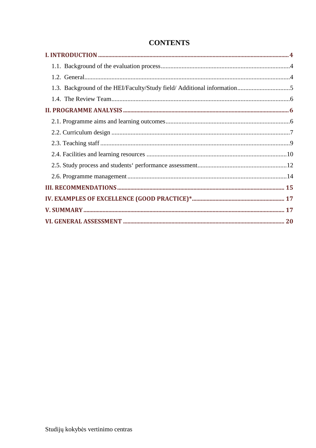| 1.3. Background of the HEI/Faculty/Study field/ Additional information5 |  |
|-------------------------------------------------------------------------|--|
|                                                                         |  |
|                                                                         |  |
|                                                                         |  |
|                                                                         |  |
|                                                                         |  |
|                                                                         |  |
|                                                                         |  |
|                                                                         |  |
|                                                                         |  |
|                                                                         |  |
|                                                                         |  |
|                                                                         |  |

# **CONTENTS**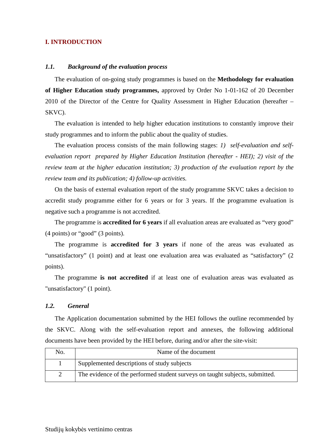#### **I. INTRODUCTION**

#### *1.1. Background of the evaluation process*

The evaluation of on-going study programmes is based on the **Methodology for evaluation of Higher Education study programmes,** approved by Order No 1-01-162 of 20 December 2010 of the Director of the Centre for Quality Assessment in Higher Education (hereafter – SKVC).

The evaluation is intended to help higher education institutions to constantly improve their study programmes and to inform the public about the quality of studies.

The evaluation process consists of the main following stages: *1) self-evaluation and selfevaluation report prepared by Higher Education Institution (hereafter - HEI); 2) visit of the review team at the higher education institution; 3) production of the evaluation report by the review team and its publication; 4) follow-up activities.* 

On the basis of external evaluation report of the study programme SKVC takes a decision to accredit study programme either for 6 years or for 3 years. If the programme evaluation is negative such a programme is not accredited.

The programme is **accredited for 6 years** if all evaluation areas are evaluated as "very good" (4 points) or "good" (3 points).

The programme is **accredited for 3 years** if none of the areas was evaluated as "unsatisfactory" (1 point) and at least one evaluation area was evaluated as "satisfactory" (2 points).

The programme **is not accredited** if at least one of evaluation areas was evaluated as "unsatisfactory" (1 point).

#### *1.2. General*

The Application documentation submitted by the HEI follows the outline recommended by the SKVC. Along with the self-evaluation report and annexes, the following additional documents have been provided by the HEI before, during and/or after the site-visit:

| No. | Name of the document                                                         |
|-----|------------------------------------------------------------------------------|
|     | Supplemented descriptions of study subjects                                  |
| ↵   | The evidence of the performed student surveys on taught subjects, submitted. |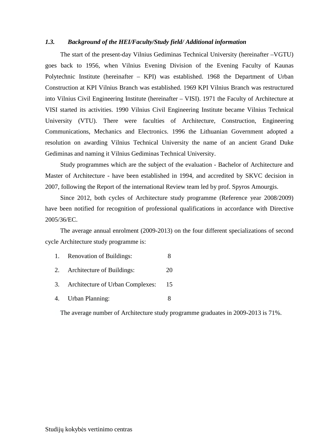#### *1.3. Background of the HEI/Faculty/Study field/ Additional information*

 The start of the present-day Vilnius Gediminas Technical University (hereinafter –VGTU) goes back to 1956, when Vilnius Evening Division of the Evening Faculty of Kaunas Polytechnic Institute (hereinafter – KPI) was established. 1968 the Department of Urban Construction at KPI Vilnius Branch was established. 1969 KPI Vilnius Branch was restructured into Vilnius Civil Engineering Institute (hereinafter – VISI). 1971 the Faculty of Architecture at VISI started its activities. 1990 Vilnius Civil Engineering Institute became Vilnius Technical University (VTU). There were faculties of Architecture, Construction, Engineering Communications, Mechanics and Electronics. 1996 the Lithuanian Government adopted a resolution on awarding Vilnius Technical University the name of an ancient Grand Duke Gediminas and naming it Vilnius Gediminas Technical University.

 Study programmes which are the subject of the evaluation - Bachelor of Architecture and Master of Architecture - have been established in 1994, and accredited by SKVC decision in 2007, following the Report of the international Review team led by prof. Spyros Amourgis.

 Since 2012, both cycles of Architecture study programme (Reference year 2008/2009) have been notified for recognition of professional qualifications in accordance with Directive 2005/36/EC.

 The average annual enrolment (2009-2013) on the four different specializations of second cycle Architecture study programme is:

- 1. Renovation of Buildings: 8
- 2. Architecture of Buildings: 20
- 3. Architecture of Urban Complexes: 15
- 4. Urban Planning: 8

The average number of Architecture study programme graduates in 2009-2013 is 71%.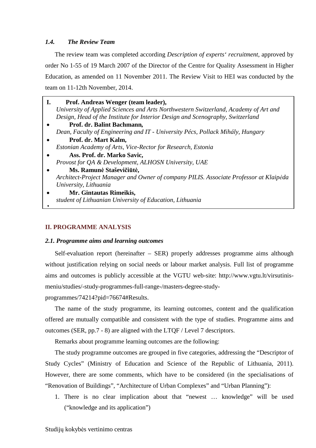#### *1.4. The Review Team*

The review team was completed according *Description of experts' recruitment*, approved by order No 1-55 of 19 March 2007 of the Director of the Centre for Quality Assessment in Higher Education, as amended on 11 November 2011. The Review Visit to HEI was conducted by the team on 11-12th November, 2014.

- $\bullet$ **I. Prof. Andreas Wenger (team leader),**  *University of Applied Sciences and Arts Northwestern Switzerland, Academy of Art and Design, Head of the Institute for Interior Design and Scenography, Switzerland* • **Prof. dr. Balint Bachmann***, Dean, Faculty of Engineering and IT - University Pécs, Pollack Mihály, Hungary* • **Prof. dr. Mart Kalm,**  *Estonian Academy of Arts, Vice-Rector for Research, Estonia* • **Ass. Prof. dr. Marko Savic,**  *Provost for QA & Development, ALHOSN University, UAE* • **Ms. Ramunė Staševičiūtė,**
- *Architect-Project Manager and Owner of company PILIS. Associate Professor at Klaipėda University, Lithuania*
- **Mr. Gintautas Rimeikis,**  *student of Lithuanian University of Education, Lithuania*

#### **II. PROGRAMME ANALYSIS**

**1.**

#### *2.1. Programme aims and learning outcomes*

Self-evaluation report (hereinafter – SER) properly addresses programme aims although without justification relying on social needs or labour market analysis. Full list of programme aims and outcomes is publicly accessible at the VGTU web-site: http://www.vgtu.lt/virsutinismeniu/studies/-study-programmes-full-range-/masters-degree-study-

programmes/74214?pid=76674#Results.

The name of the study programme, its learning outcomes, content and the qualification offered are mutually compatible and consistent with the type of studies. Programme aims and outcomes (SER, pp.7 - 8) are aligned with the LTQF / Level 7 descriptors.

Remarks about programme learning outcomes are the following:

The study programme outcomes are grouped in five categories, addressing the "Descriptor of Study Cycles" (Ministry of Education and Science of the Republic of Lithuania, 2011). However, there are some comments, which have to be considered (in the specialisations of "Renovation of Buildings", "Architecture of Urban Complexes" and "Urban Planning"):

1. There is no clear implication about that "newest … knowledge" will be used ("knowledge and its application")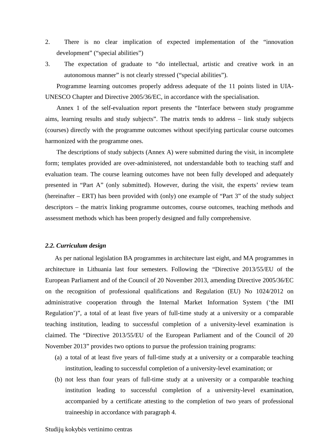- 2. There is no clear implication of expected implementation of the "innovation development" ("special abilities")
- 3. The expectation of graduate to "do intellectual, artistic and creative work in an autonomous manner" is not clearly stressed ("special abilities").

 Programme learning outcomes properly address adequate of the 11 points listed in UIA-UNESCO Chapter and Directive 2005/36/EC, in accordance with the specialisation.

 Annex 1 of the self-evaluation report presents the "Interface between study programme aims, learning results and study subjects". The matrix tends to address – link study subjects (courses) directly with the programme outcomes without specifying particular course outcomes harmonized with the programme ones.

 The descriptions of study subjects (Annex A) were submitted during the visit, in incomplete form; templates provided are over-administered, not understandable both to teaching staff and evaluation team. The course learning outcomes have not been fully developed and adequately presented in "Part A" (only submitted). However, during the visit, the experts' review team (hereinafter – ERT) has been provided with (only) one example of "Part 3" of the study subject descriptors – the matrix linking programme outcomes, course outcomes, teaching methods and assessment methods which has been properly designed and fully comprehensive.

#### *2.2. Curriculum design*

As per national legislation BA programmes in architecture last eight, and MA programmes in architecture in Lithuania last four semesters. Following the "Directive 2013/55/EU of the European Parliament and of the Council of 20 November 2013, amending Directive 2005/36/EC on the recognition of professional qualifications and Regulation (EU) No 1024/2012 on administrative cooperation through the Internal Market Information System ('the IMI Regulation')", a total of at least five years of full-time study at a university or a comparable teaching institution, leading to successful completion of a university-level examination is claimed. The "Directive 2013/55/EU of the European Parliament and of the Council of 20 November 2013" provides two options to pursue the profession training programs:

- (a) a total of at least five years of full-time study at a university or a comparable teaching institution, leading to successful completion of a university-level examination; or
- (b) not less than four years of full-time study at a university or a comparable teaching institution leading to successful completion of a university-level examination, accompanied by a certificate attesting to the completion of two years of professional traineeship in accordance with paragraph 4.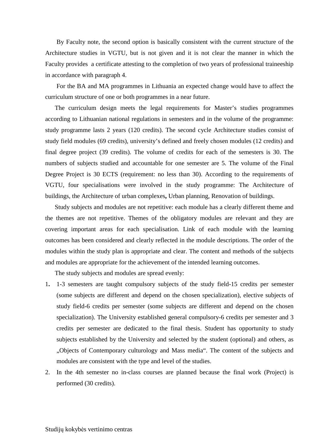By Faculty note, the second option is basically consistent with the current structure of the Architecture studies in VGTU, but is not given and it is not clear the manner in which the Faculty provides a certificate attesting to the completion of two years of professional traineeship in accordance with paragraph 4.

For the BA and MA programmes in Lithuania an expected change would have to affect the curriculum structure of one or both programmes in a near future.

The curriculum design meets the legal requirements for Master's studies programmes according to Lithuanian national regulations in semesters and in the volume of the programme: study programme lasts 2 years (120 credits). The second cycle Architecture studies consist of study field modules (69 credits), university's defined and freely chosen modules (12 credits) and final degree project (39 credits). The volume of credits for each of the semesters is 30. The numbers of subjects studied and accountable for one semester are 5. The volume of the Final Degree Project is 30 ECTS (requirement: no less than 30). According to the requirements of VGTU, four specialisations were involved in the study programme: The Architecture of buildings, the Architecture of urban complexes**,** Urban planning, Renovation of buildings.

Study subjects and modules are not repetitive: each module has a clearly different theme and the themes are not repetitive. Themes of the obligatory modules are relevant and they are covering important areas for each specialisation. Link of each module with the learning outcomes has been considered and clearly reflected in the module descriptions. The order of the modules within the study plan is appropriate and clear. The content and methods of the subjects and modules are appropriate for the achievement of the intended learning outcomes.

The study subjects and modules are spread evenly:

- 1**.** 1-3 semesters are taught compulsory subjects of the study field-15 credits per semester (some subjects are different and depend on the chosen specialization), elective subjects of study field-6 credits per semester (some subjects are different and depend on the chosen specialization). The University established general compulsory-6 credits per semester and 3 credits per semester are dedicated to the final thesis. Student has opportunity to study subjects established by the University and selected by the student (optional) and others, as "Objects of Contemporary culturology and Mass media". The content of the subjects and modules are consistent with the type and level of the studies.
- 2. In the 4th semester no in-class courses are planned because the final work (Project) is performed (30 credits).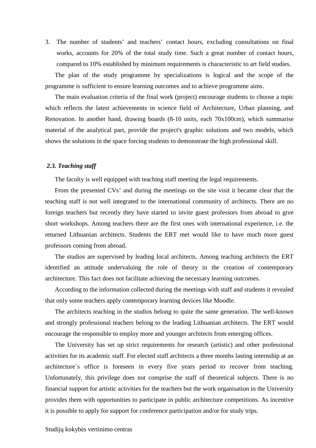3. The number of students' and teachers' contact hours, excluding consultations on final works, accounts for 20% of the total study time. Such a great number of contact hours, compared to 10% established by minimum requirements is characteristic to art field studies.

The plan of the study programme by specializations is logical and the scope of the programme is sufficient to ensure learning outcomes and to achieve programme aims.

The main evaluation criteria of the final work (project) encourage students to choose a topic which reflects the latest achievements in science field of Architecture, Urban planning, and Renovation. In another hand, drawing boards (8-10 units, each 70x100cm), which summarise material of the analytical part, provide the project's graphic solutions and two models, which shows the solutions in the space forcing students to demonstrate the high professional skill.

#### *2.3. Teaching staff*

The faculty is well equipped with teaching staff meeting the legal requirements.

From the presented CVs' and during the meetings on the site visit it became clear that the teaching staff is not well integrated to the international community of architects. There are no foreign teachers but recently they have started to invite guest professors from abroad to give short workshops. Among teachers there are the first ones with international experience, i.e. the returned Lithuanian architects. Students the ERT met would like to have much more guest professors coming from abroad.

The studios are supervised by leading local architects. Among teaching architects the ERT identified an attitude undervaluing the role of theory in the creation of contemporary architecture. This fact does not facilitate achieving the necessary learning outcomes.

According to the information collected during the meetings with staff and students it revealed that only some teachers apply contemporary learning devices like Moodle.

The architects teaching in the studios belong to quite the same generation. The well-known and strongly professional teachers belong to the leading Lithuanian architects. The ERT would encourage the responsible to employ more and younger architects from emerging offices.

The University has set up strict requirements for research (artistic) and other professional activities for its academic staff. For elected staff architects a three months lasting internship at an architecture`s office is foreseen in every five years period to recover from teaching. Unfortunately, this privilege does not comprise the staff of theoretical subjects. There is no financial support for artistic activities for the teachers but the work organisation in the University provides them with opportunities to participate in public architecture competitions. As incentive it is possible to apply for support for conference participation and/or for study trips.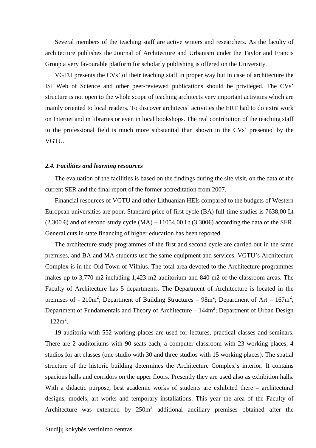Several members of the teaching staff are active writers and researchers. As the faculty of architecture publishes the Journal of Architecture and Urbanism under the Taylor and Francis Group a very favourable platform for scholarly publishing is offered on the University.

VGTU presents the CVs' of their teaching staff in proper way but in case of architecture the ISI Web of Science and other peer-reviewed publications should be privileged. The CVs' structure is not open to the whole scope of teaching architects very important activities which are mainly oriented to local readers. To discover architects` activities the ERT had to do extra work on Internet and in libraries or even in local bookshops. The real contribution of the teaching staff to the professional field is much more substantial than shown in the CVs' presented by the VGTU.

#### *2.4. Facilities and learning resources*

The evaluation of the facilities is based on the findings during the site visit, on the data of the current SER and the final report of the former accreditation from 2007.

Financial resources of VGTU and other Lithuanian HEIs compared to the budgets of Western European universities are poor. Standard price of first cycle (BA) full-time studies is 7638,00 Lt  $(2.300 \in )$  and of second study cycle  $(MA) - 11054,00$ Lt  $(3.300 \in )$  according the data of the SER. General cuts in state financing of higher education has been reported.

The architecture study programmes of the first and second cycle are carried out in the same premises, and BA and MA students use the same equipment and services. VGTU's Architecture Complex is in the Old Town of Vilnius. The total area devoted to the Architecture programmes makes up to 3,770 m2 including 1,423 m2 auditorium and 840 m2 of the classroom areas. The Faculty of Architecture has 5 departments. The Department of Architecture is located in the premises of - 210m<sup>2</sup>; Department of Building Structures –  $98m^2$ ; Department of Art –  $167m^2$ ; Department of Fundamentals and Theory of Architecture –  $144m^2$ ; Department of Urban Design  $-122m^2$ .

19 auditoria with 552 working places are used for lectures, practical classes and seminars. There are 2 auditoriums with 90 seats each, a computer classroom with 23 working places, 4 studios for art classes (one studio with 30 and three studios with 15 working places). The spatial structure of the historic building determines the Architecture Complex's interior. It contains spacious halls and corridors on the upper floors. Presently they are used also as exhibition halls. With a didactic purpose, best academic works of students are exhibited there – architectural designs, models, art works and temporary installations. This year the area of the Faculty of Architecture was extended by  $250m^2$  additional ancillary premises obtained after the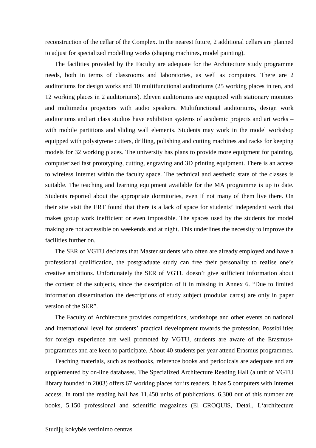reconstruction of the cellar of the Complex. In the nearest future, 2 additional cellars are planned to adjust for specialized modelling works (shaping machines, model painting).

The facilities provided by the Faculty are adequate for the Architecture study programme needs, both in terms of classrooms and laboratories, as well as computers. There are 2 auditoriums for design works and 10 multifunctional auditoriums (25 working places in ten, and 12 working places in 2 auditoriums). Eleven auditoriums are equipped with stationary monitors and multimedia projectors with audio speakers. Multifunctional auditoriums, design work auditoriums and art class studios have exhibition systems of academic projects and art works – with mobile partitions and sliding wall elements. Students may work in the model workshop equipped with polystyrene cutters, drilling, polishing and cutting machines and racks for keeping models for 32 working places. The university has plans to provide more equipment for painting, computerized fast prototyping, cutting, engraving and 3D printing equipment. There is an access to wireless Internet within the faculty space. The technical and aesthetic state of the classes is suitable. The teaching and learning equipment available for the MA programme is up to date. Students reported about the appropriate dormitories, even if not many of them live there. On their site visit the ERT found that there is a lack of space for students' independent work that makes group work inefficient or even impossible. The spaces used by the students for model making are not accessible on weekends and at night. This underlines the necessity to improve the facilities further on.

The SER of VGTU declares that Master students who often are already employed and have a professional qualification, the postgraduate study can free their personality to realise one's creative ambitions. Unfortunately the SER of VGTU doesn't give sufficient information about the content of the subjects, since the description of it in missing in Annex 6. "Due to limited information dissemination the descriptions of study subject (modular cards) are only in paper version of the SER".

The Faculty of Architecture provides competitions, workshops and other events on national and international level for students' practical development towards the profession. Possibilities for foreign experience are well promoted by VGTU, students are aware of the Erasmus+ programmes and are keen to participate. About 40 students per year attend Erasmus programmes.

Teaching materials, such as textbooks, reference books and periodicals are adequate and are supplemented by on-line databases. The Specialized Architecture Reading Hall (a unit of VGTU library founded in 2003) offers 67 working places for its readers. It has 5 computers with Internet access. In total the reading hall has 11,450 units of publications, 6,300 out of this number are books, 5,150 professional and scientific magazines (El CROQUIS, Detail, L'architecture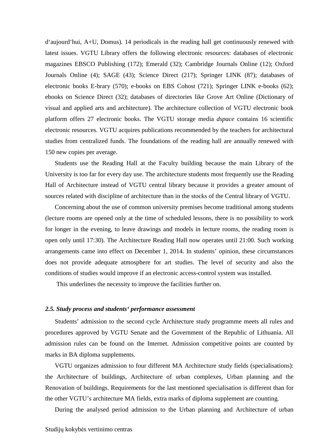d'aujourd'hui, A+U, Domus)*.* 14 periodicals in the reading hall get continuously renewed with latest issues. VGTU Library offers the following electronic resources: databases of electronic magazines EBSCO Publishing (172); Emerald (32); Cambridge Journals Online (12); Oxford Journals Online (4); SAGE (43); Science Direct (217); Springer LINK (87); databases of electronic books E-brary (570); e-books on EBS Cohost (721); Springer LINK e-books (62); ebooks on Science Direct (32); databases of directories like Grove Art Online (Dictionary of visual and applied arts and architecture). The architecture collection of VGTU electronic book platform offers 27 electronic books. The VGTU storage media *dspace* contains 16 scientific electronic resources. VGTU acquires publications recommended by the teachers for architectural studies from centralized funds. The foundations of the reading hall are annually renewed with 150 new copies per average.

Students use the Reading Hall at the Faculty building because the main Library of the University is too far for every day use. The architecture students most frequently use the Reading Hall of Architecture instead of VGTU central library because it provides a greater amount of sources related with discipline of architecture than in the stocks of the Central library of VGTU.

Concerning about the use of common university premises become traditional among students (lecture rooms are opened only at the time of scheduled lessons, there is no possibility to work for longer in the evening, to leave drawings and models in lecture rooms, the reading room is open only until 17:30). The Architecture Reading Hall now operates until 21:00. Such working arrangements came into effect on December 1, 2014. In students' opinion, these circumstances does not provide adequate atmosphere for art studies. The level of security and also the conditions of studies would improve if an electronic access-control system was installed.

This underlines the necessity to improve the facilities further on.

#### *2.5. Study process and students' performance assessment*

Students' admission to the second cycle Architecture study programme meets all rules and procedures approved by VGTU Senate and the Government of the Republic of Lithuania. All admission rules can be found on the Internet. Admission competitive points are counted by marks in BA diploma supplements.

VGTU organizes admission to four different MA Architecture study fields (specialisations): the Architecture of buildings, Architecture of urban complexes, Urban planning and the Renovation of buildings. Requirements for the last mentioned specialisation is different than for the other VGTU's architecture MA fields, extra marks of diploma supplement are counting.

During the analysed period admission to the Urban planning and Architecture of urban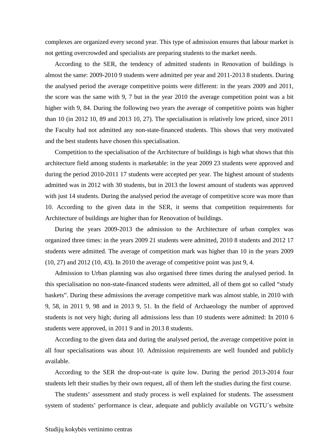complexes are organized every second year. This type of admission ensures that labour market is not getting overcrowded and specialists are preparing students to the market needs.

According to the SER, the tendency of admitted students in Renovation of buildings is almost the same: 2009-2010 9 students were admitted per year and 2011-2013 8 students. During the analysed period the average competitive points were different: in the years 2009 and 2011, the score was the same with 9, 7 but in the year 2010 the average competition point was a bit higher with 9, 84. During the following two years the average of competitive points was higher than 10 (in 2012 10, 89 and 2013 10, 27). The specialisation is relatively low priced, since 2011 the Faculty had not admitted any non-state-financed students. This shows that very motivated and the best students have chosen this specialisation.

Competition to the specialisation of the Architecture of buildings is high what shows that this architecture field among students is marketable: in the year 2009 23 students were approved and during the period 2010-2011 17 students were accepted per year. The highest amount of students admitted was in 2012 with 30 students, but in 2013 the lowest amount of students was approved with just 14 students. During the analysed period the average of competitive score was more than 10. According to the given data in the SER, it seems that competition requirements for Architecture of buildings are higher than for Renovation of buildings.

During the years 2009-2013 the admission to the Architecture of urban complex was organized three times: in the years 2009 21 students were admitted, 2010 8 students and 2012 17 students were admitted. The average of competition mark was higher than 10 in the years 2009 (10, 27) and 2012 (10, 43). In 2010 the average of competitive point was just 9, 4.

Admission to Urban planning was also organised three times during the analysed period. In this specialisation no non-state-financed students were admitted, all of them got so called "study baskets". During these admissions the average competitive mark was almost stable, in 2010 with 9, 58, in 2011 9, 98 and in 2013 9, 51. In the field of Archaeology the number of approved students is not very high; during all admissions less than 10 students were admitted: In 2010 6 students were approved, in 2011 9 and in 2013 8 students.

According to the given data and during the analysed period, the average competitive point in all four specialisations was about 10. Admission requirements are well founded and publicly available.

According to the SER the drop-out-rate is quite low. During the period 2013-2014 four students left their studies by their own request, all of them left the studies during the first course.

The students' assessment and study process is well explained for students. The assessment system of students' performance is clear, adequate and publicly available on VGTU`s website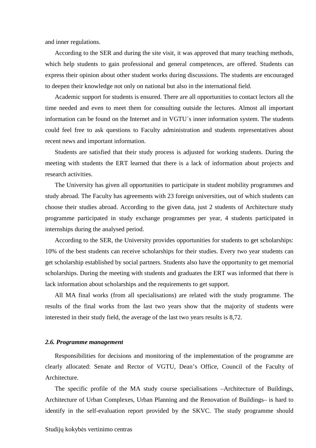and inner regulations.

According to the SER and during the site visit, it was approved that many teaching methods, which help students to gain professional and general competences, are offered. Students can express their opinion about other student works during discussions. The students are encouraged to deepen their knowledge not only on national but also in the international field.

Academic support for students is ensured. There are all opportunities to contact lectors all the time needed and even to meet them for consulting outside the lectures. Almost all important information can be found on the Internet and in VGTU`s inner information system. The students could feel free to ask questions to Faculty administration and students representatives about recent news and important information.

Students are satisfied that their study process is adjusted for working students. During the meeting with students the ERT learned that there is a lack of information about projects and research activities.

The University has given all opportunities to participate in student mobility programmes and study abroad. The Faculty has agreements with 23 foreign universities, out of which students can choose their studies abroad. According to the given data, just 2 students of Architecture study programme participated in study exchange programmes per year, 4 students participated in internships during the analysed period.

According to the SER, the University provides opportunities for students to get scholarships: 10% of the best students can receive scholarships for their studies. Every two year students can get scholarship established by social partners. Students also have the opportunity to get memorial scholarships. During the meeting with students and graduates the ERT was informed that there is lack information about scholarships and the requirements to get support.

All MA final works (from all specialisations) are related with the study programme. The results of the final works from the last two years show that the majority of students were interested in their study field, the average of the last two years results is 8,72.

#### *2.6. Programme management*

Responsibilities for decisions and monitoring of the implementation of the programme are clearly allocated: Senate and Rector of VGTU, Dean's Office, Council of the Faculty of Architecture.

The specific profile of the MA study course specialisations –Architecture of Buildings, Architecture of Urban Complexes, Urban Planning and the Renovation of Buildings– is hard to identify in the self-evaluation report provided by the SKVC. The study programme should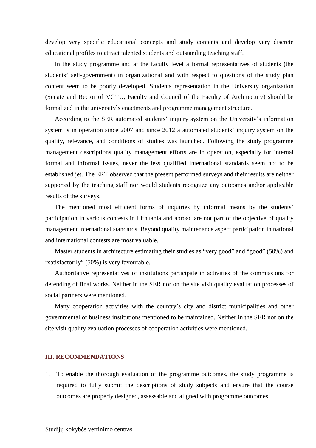develop very specific educational concepts and study contents and develop very discrete educational profiles to attract talented students and outstanding teaching staff.

In the study programme and at the faculty level a formal representatives of students (the students' self-government) in organizational and with respect to questions of the study plan content seem to be poorly developed. Students representation in the University organization (Senate and Rector of VGTU, Faculty and Council of the Faculty of Architecture) should be formalized in the university`s enactments and programme management structure.

According to the SER automated students' inquiry system on the University's information system is in operation since 2007 and since 2012 a automated students' inquiry system on the quality, relevance, and conditions of studies was launched. Following the study programme management descriptions quality management efforts are in operation, especially for internal formal and informal issues, never the less qualified international standards seem not to be established jet. The ERT observed that the present performed surveys and their results are neither supported by the teaching staff nor would students recognize any outcomes and/or applicable results of the surveys.

The mentioned most efficient forms of inquiries by informal means by the students' participation in various contests in Lithuania and abroad are not part of the objective of quality management international standards. Beyond quality maintenance aspect participation in national and international contests are most valuable.

Master students in architecture estimating their studies as "very good" and "good" (50%) and "satisfactorily" (50%) is very favourable.

Authoritative representatives of institutions participate in activities of the commissions for defending of final works. Neither in the SER nor on the site visit quality evaluation processes of social partners were mentioned.

Many cooperation activities with the country's city and district municipalities and other governmental or business institutions mentioned to be maintained. Neither in the SER nor on the site visit quality evaluation processes of cooperation activities were mentioned.

#### **III. RECOMMENDATIONS**

1. To enable the thorough evaluation of the programme outcomes, the study programme is required to fully submit the descriptions of study subjects and ensure that the course outcomes are properly designed, assessable and aligned with programme outcomes.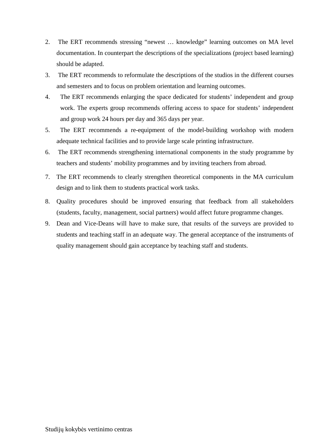- 2. The ERT recommends stressing "newest … knowledge" learning outcomes on MA level documentation. In counterpart the descriptions of the specializations (project based learning) should be adapted.
- 3. The ERT recommends to reformulate the descriptions of the studios in the different courses and semesters and to focus on problem orientation and learning outcomes.
- 4. The ERT recommends enlarging the space dedicated for students' independent and group work. The experts group recommends offering access to space for students' independent and group work 24 hours per day and 365 days per year.
- 5. The ERT recommends a re-equipment of the model-building workshop with modern adequate technical facilities and to provide large scale printing infrastructure.
- 6. The ERT recommends strengthening international components in the study programme by teachers and students' mobility programmes and by inviting teachers from abroad.
- 7. The ERT recommends to clearly strengthen theoretical components in the MA curriculum design and to link them to students practical work tasks.
- 8. Quality procedures should be improved ensuring that feedback from all stakeholders (students, faculty, management, social partners) would affect future programme changes.
- 9. Dean and Vice-Deans will have to make sure, that results of the surveys are provided to students and teaching staff in an adequate way. The general acceptance of the instruments of quality management should gain acceptance by teaching staff and students.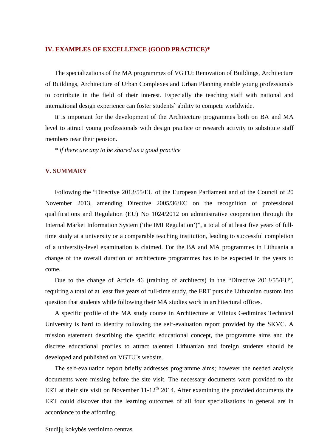#### **IV. EXAMPLES OF EXCELLENCE (GOOD PRACTICE)\***

The specializations of the MA programmes of VGTU: Renovation of Buildings, Architecture of Buildings, Architecture of Urban Complexes and Urban Planning enable young professionals to contribute in the field of their interest. Especially the teaching staff with national and international design experience can foster students` ability to compete worldwide.

It is important for the development of the Architecture programmes both on BA and MA level to attract young professionals with design practice or research activity to substitute staff members near their pension.

*\* if there are any to be shared as a good practice* 

#### **V. SUMMARY**

Following the "Directive 2013/55/EU of the European Parliament and of the Council of 20 November 2013, amending Directive 2005/36/EC on the recognition of professional qualifications and Regulation (EU) No 1024/2012 on administrative cooperation through the Internal Market Information System ('the IMI Regulation')", a total of at least five years of fulltime study at a university or a comparable teaching institution, leading to successful completion of a university-level examination is claimed. For the BA and MA programmes in Lithuania a change of the overall duration of architecture programmes has to be expected in the years to come.

Due to the change of Article 46 (training of architects) in the "Directive 2013/55/EU", requiring a total of at least five years of full-time study, the ERT puts the Lithuanian custom into question that students while following their MA studies work in architectural offices.

A specific profile of the MA study course in Architecture at Vilnius Gediminas Technical University is hard to identify following the self-evaluation report provided by the SKVC. A mission statement describing the specific educational concept, the programme aims and the discrete educational profiles to attract talented Lithuanian and foreign students should be developed and published on VGTU`s website.

The self-evaluation report briefly addresses programme aims; however the needed analysis documents were missing before the site visit. The necessary documents were provided to the ERT at their site visit on November  $11-12<sup>th</sup>$  2014. After examining the provided documents the ERT could discover that the learning outcomes of all four specialisations in general are in accordance to the affording.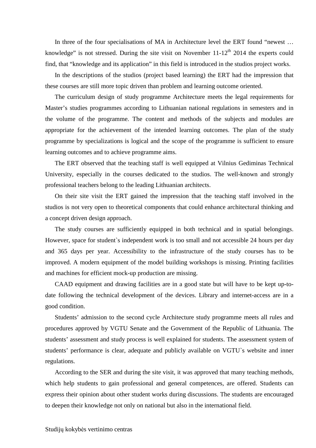In three of the four specialisations of MA in Architecture level the ERT found "newest ... knowledge" is not stressed. During the site visit on November  $11-12<sup>th</sup>$  2014 the experts could find, that "knowledge and its application" in this field is introduced in the studios project works.

In the descriptions of the studios (project based learning) the ERT had the impression that these courses are still more topic driven than problem and learning outcome oriented.

The curriculum design of study programme Architecture meets the legal requirements for Master's studies programmes according to Lithuanian national regulations in semesters and in the volume of the programme. The content and methods of the subjects and modules are appropriate for the achievement of the intended learning outcomes. The plan of the study programme by specializations is logical and the scope of the programme is sufficient to ensure learning outcomes and to achieve programme aims.

The ERT observed that the teaching staff is well equipped at Vilnius Gediminas Technical University, especially in the courses dedicated to the studios. The well-known and strongly professional teachers belong to the leading Lithuanian architects.

On their site visit the ERT gained the impression that the teaching staff involved in the studios is not very open to theoretical components that could enhance architectural thinking and a concept driven design approach.

The study courses are sufficiently equipped in both technical and in spatial belongings. However, space for student`s independent work is too small and not accessible 24 hours per day and 365 days per year. Accessibility to the infrastructure of the study courses has to be improved. A modern equipment of the model building workshops is missing. Printing facilities and machines for efficient mock-up production are missing.

CAAD equipment and drawing facilities are in a good state but will have to be kept up-todate following the technical development of the devices. Library and internet-access are in a good condition.

Students' admission to the second cycle Architecture study programme meets all rules and procedures approved by VGTU Senate and the Government of the Republic of Lithuania. The students' assessment and study process is well explained for students. The assessment system of students' performance is clear, adequate and publicly available on VGTU`s website and inner regulations.

According to the SER and during the site visit, it was approved that many teaching methods, which help students to gain professional and general competences, are offered. Students can express their opinion about other student works during discussions. The students are encouraged to deepen their knowledge not only on national but also in the international field.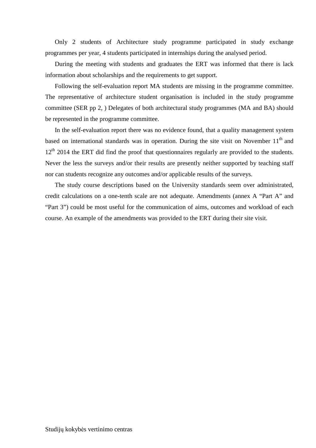Only 2 students of Architecture study programme participated in study exchange programmes per year, 4 students participated in internships during the analysed period.

During the meeting with students and graduates the ERT was informed that there is lack information about scholarships and the requirements to get support.

Following the self-evaluation report MA students are missing in the programme committee. The representative of architecture student organisation is included in the study programme committee (SER pp 2, ) Delegates of both architectural study programmes (MA and BA) should be represented in the programme committee.

In the self-evaluation report there was no evidence found, that a quality management system based on international standards was in operation. During the site visit on November  $11<sup>th</sup>$  and  $12<sup>th</sup>$  2014 the ERT did find the proof that questionnaires regularly are provided to the students. Never the less the surveys and/or their results are presently neither supported by teaching staff nor can students recognize any outcomes and/or applicable results of the surveys.

The study course descriptions based on the University standards seem over administrated, credit calculations on a one-tenth scale are not adequate. Amendments (annex A "Part A" and "Part 3") could be most useful for the communication of aims, outcomes and workload of each course. An example of the amendments was provided to the ERT during their site visit.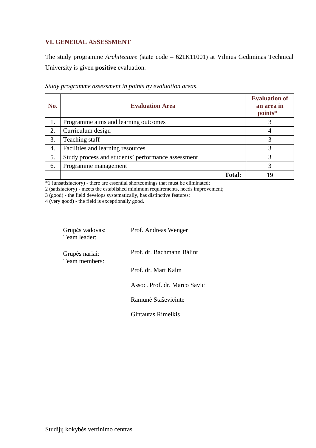### **VI. GENERAL ASSESSMENT**

The study programme *Architecture* (state code – 621K11001) at Vilnius Gediminas Technical University is given **positive** evaluation.

| No. | <b>Evaluation Area</b>                             | <b>Evaluation of</b><br>an area in<br>points* |
|-----|----------------------------------------------------|-----------------------------------------------|
| 1.  | Programme aims and learning outcomes               |                                               |
| 2.  | Curriculum design                                  |                                               |
| 3.  | Teaching staff                                     |                                               |
| 4.  | Facilities and learning resources                  | 3                                             |
| 5.  | Study process and students' performance assessment | 3                                             |
| 6.  | Programme management                               | 3                                             |
|     | <b>Total:</b>                                      | 19                                            |

*Study programme assessment in points by evaluation areas*.

\*1 (unsatisfactory) - there are essential shortcomings that must be eliminated;

2 (satisfactory) - meets the established minimum requirements, needs improvement;

3 (good) - the field develops systematically, has distinctive features;

4 (very good) - the field is exceptionally good.

| Grupės vadovas:<br>Team leader: | Prof. Andreas Wenger         |
|---------------------------------|------------------------------|
| Grupės nariai:<br>Team members: | Prof. dr. Bachmann Bálint    |
|                                 | Prof. dr. Mart Kalm          |
|                                 | Assoc. Prof. dr. Marco Savic |
|                                 | Ramunė Staševičiūtė          |
|                                 | Gintautas Rimeikis           |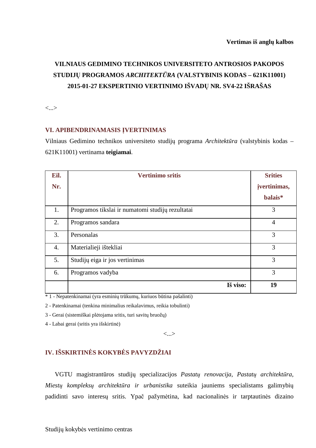# **VILNIAUS GEDIMINO TECHNIKOS UNIVERSITETO ANTROSIOS PAKOPOS STUDIJŲ PROGRAMOS** *ARCHITEKTŪRA* **(VALSTYBINIS KODAS – 621K11001) 2015-01-27 EKSPERTINIO VERTINIMO IŠVADŲ NR. SV4-22 IŠRAŠAS**

<...>

#### **VI. APIBENDRINAMASIS ĮVERTINIMAS**

Vilniaus Gedimino technikos universiteto studijų programa *Architektūra* (valstybinis kodas – 621K11001) vertinama **teigiamai**.

| Eil. | <b>Vertinimo sritis</b>                          | <b>Srities</b> |
|------|--------------------------------------------------|----------------|
| Nr.  |                                                  | jvertinimas,   |
|      |                                                  | balais*        |
| 1.   | Programos tikslai ir numatomi studijų rezultatai | 3              |
| 2.   | Programos sandara                                | $\overline{4}$ |
| 3.   | Personalas                                       | 3              |
| 4.   | Materialieji ištekliai                           | 3              |
| 5.   | Studijų eiga ir jos vertinimas                   | 3              |
| 6.   | Programos vadyba                                 | 3              |
|      | Iš viso:                                         | 19             |

\* 1 - Nepatenkinamai (yra esminių trūkumų, kuriuos būtina pašalinti)

2 - Patenkinamai (tenkina minimalius reikalavimus, reikia tobulinti)

3 - Gerai (sistemiškai plėtojama sritis, turi savitų bruožų)

4 - Labai gerai (sritis yra išskirtinė)

<...>

## **IV. IŠSKIRTINĖS KOKYBĖS PAVYZDŽIAI**

VGTU magistrantūros studijų specializacijos *Pastatų renovacija*, *Pastatų architektūra*, *Miestų kompleksų architektūra ir urbanistika* suteikia jauniems specialistams galimybių padidinti savo interesų sritis. Ypač pažymėtina, kad nacionalinės ir tarptautinės dizaino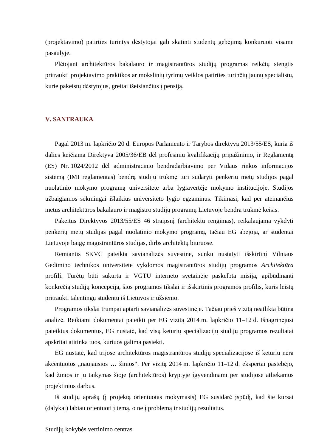(projektavimo) patirties turintys dėstytojai gali skatinti studentų gebėjimą konkuruoti visame pasaulyje.

Plėtojant architektūros bakalauro ir magistrantūros studijų programas reikėtų stengtis pritraukti projektavimo praktikos ar mokslinių tyrimų veiklos patirties turinčių jaunų specialistų, kurie pakeistų dėstytojus, greitai išeisiančius į pensiją.

#### **V. SANTRAUKA**

Pagal 2013 m. lapkričio 20 d. Europos Parlamento ir Tarybos direktyvą 2013/55/ES, kuria iš dalies keičiama Direktyva 2005/36/EB dėl profesinių kvalifikacijų pripažinimo, ir Reglamentą (ES) Nr. 1024/2012 dėl administracinio bendradarbiavimo per Vidaus rinkos informacijos sistemą (IMI reglamentas) bendrą studijų trukmę turi sudaryti penkerių metų studijos pagal nuolatinio mokymo programą universitete arba lygiavertėje mokymo institucijoje. Studijos užbaigiamos sėkmingai išlaikius universiteto lygio egzaminus. Tikimasi, kad per ateinančius metus architektūros bakalauro ir magistro studijų programų Lietuvoje bendra trukmė keisis.

Pakeitus Direktyvos 2013/55/ES 46 straipsnį (architektų rengimas), reikalaujama vykdyti penkerių metų studijas pagal nuolatinio mokymo programą, tačiau EG abejoja, ar studentai Lietuvoje baigę magistrantūros studijas, dirbs architektų biuruose.

Remiantis SKVC pateikta savianalizės suvestine, sunku nustatyti išskirtinį Vilniaus Gedimino technikos universitete vykdomos magistrantūros studijų programos *Architektūra* profilį. Turėtų būti sukurta ir VGTU interneto svetainėje paskelbta misija, apibūdinanti konkrečią studijų koncepciją, šios programos tikslai ir išskirtinis programos profilis, kuris leistų pritraukti talentingų studentų iš Lietuvos ir užsienio.

Programos tikslai trumpai aptarti savianalizės suvestinėje. Tačiau prieš vizitą neatlikta būtina analizė. Reikiami dokumentai pateikti per EG vizitą 2014 m. lapkričio 11–12 d. Išnagrinėjusi pateiktus dokumentus, EG nustatė, kad visų keturių specializacijų studijų programos rezultatai apskritai atitinka tuos, kuriuos galima pasiekti.

EG nustatė, kad trijose architektūros magistrantūros studijų specializacijose iš keturių nėra akcentuotos "naujausios ... žinios". Per vizitą 2014 m. lapkričio 11–12 d. ekspertai pastebėjo, kad žinios ir jų taikymas šioje (architektūros) kryptyje įgyvendinami per studijose atliekamus projektinius darbus.

Iš studijų aprašų (į projektą orientuotas mokymasis) EG susidarė įspūdį, kad šie kursai (dalykai) labiau orientuoti į temą, o ne į problemą ir studijų rezultatus.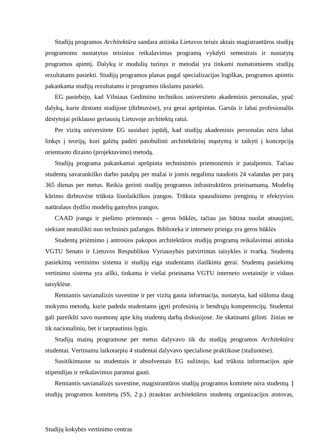Studijų programos *Architektūra* sandara atitinka Lietuvos teisės aktais magistrantūros studijų programoms nustatytus teisinius reikalavimus programą vykdyti semestrais ir nustatytą programos apimtį. Dalykų ir modulių turinys ir metodai yra tinkami numatomiems studijų rezultatams pasiekti. Studijų programos planas pagal specializacijas logiškas, programos apimtis pakankama studijų rezultatams ir programos tikslams pasiekti.

EG pastebėjo, kad Vilniaus Gedimino technikos universiteto akademinis personalas, ypač dalykų, kurie dėstomi studijose (dirbtuvėse), yra gerai aprūpintas. Garsūs ir labai profesionalūs dėstytojai priklauso geriausių Lietuvoje architektų ratui.

Per vizitą universitete EG susidarė įspūdį, kad studijų akademinis personalas nėra labai linkęs į teoriją, kuri galėtų padėti patobulinti architektūrinį mąstymą ir taikyti į koncepciją orientuoto dizaino (projektavimo) metodą.

Studijų programa pakankamai aprūpinta techninėmis priemonėmis ir patalpomis. Tačiau studentų savarankiško darbo patalpų per mažai ir jomis negalima naudotis 24 valandas per parą 365 dienas per metus. Reikia gerinti studijų programos infrastruktūros prieinamumą. Modelių kūrimo dirbtuvėse trūksta šiuolaikiškos įrangos. Trūksta spausdinimo įrenginių ir efektyvios natūralaus dydžio modelių gamybos įrangos.

CAAD įranga ir piešimo priemonės – geros būklės, tačiau jas būtina nuolat atnaujinti, siekiant neatsilikti nuo techninės pažangos. Biblioteka ir interneto prieiga yra geros būklės

Studentų priėmimo į antrosios pakopos architektūros studijų programą reikalavimai atitinka VGTU Senato ir Lietuvos Respublikos Vyriausybės patvirtintas taisykles ir tvarką. Studentų pasiekimų vertinimo sistema ir studijų eiga studentams išaiškinta gerai. Studentų pasiekimų vertinimo sistema yra aiški, tinkama ir viešai prieinama VGTU interneto svetainėje ir vidaus taisyklėse.

Remiantis savianalizės suvestine ir per vizitą gauta informacija, nustatyta, kad siūloma daug mokymo metodų, kurie padeda studentams įgyti profesinių ir bendrųjų kompetencijų. Studentai gali pareikšti savo nuomonę apie kitų studentų darbą diskusijose. Jie skatinami gilinti žinias ne tik nacionaliniu, bet ir tarptautiniu lygiu.

Studijų mainų programose per metus dalyvavo tik du studijų programos *Architektūra*  studentai. Vertinamu laikotarpiu 4 studentai dalyvavo specialiose praktikose (stažuotėse).

Susitikimuose su studentais ir absolventais EG sužinojo, kad trūksta informacijos apie stipendijas ir reikalavimus paramai gauti.

Remiantis savianalizės suvestine, magistrantūros studijų programos komitete nėra studentų. Į studijų programos komitetą (SS, 2 p.) įtrauktas architektūros studentų organizacijos atstovas,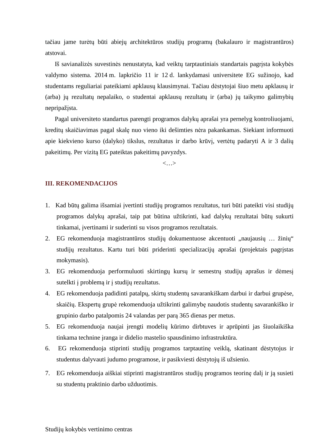tačiau jame turėtų būti abiejų architektūros studijų programų (bakalauro ir magistrantūros) atstovai.

Iš savianalizės suvestinės nenustatyta, kad veiktų tarptautiniais standartais pagrįsta kokybės valdymo sistema. 2014 m. lapkričio 11 ir 12 d. lankydamasi universitete EG sužinojo, kad studentams reguliariai pateikiami apklausų klausimynai. Tačiau dėstytojai šiuo metu apklausų ir (arba) jų rezultatų nepalaiko, o studentai apklausų rezultatų ir (arba) jų taikymo galimybių nepripažįsta.

Pagal universiteto standartus parengti programos dalykų aprašai yra pernelyg kontroliuojami, kreditų skaičiavimas pagal skalę nuo vieno iki dešimties nėra pakankamas. Siekiant informuoti apie kiekvieno kurso (dalyko) tikslus, rezultatus ir darbo krūvį, vertėtų padaryti A ir 3 dalių pakeitimų. Per vizitą EG pateiktas pakeitimų pavyzdys.

<…>

#### **III. REKOMENDACIJOS**

- 1. Kad būtų galima išsamiai įvertinti studijų programos rezultatus, turi būti pateikti visi studijų programos dalykų aprašai, taip pat būtina užtikrinti, kad dalykų rezultatai būtų sukurti tinkamai, įvertinami ir suderinti su visos programos rezultatais.
- 2. EG rekomenduoja magistrantūros studijų dokumentuose akcentuoti "naujausių … žinių" studijų rezultatus. Kartu turi būti priderinti specializacijų aprašai (projektais pagrįstas mokymasis).
- 3. EG rekomenduoja performuluoti skirtingų kursų ir semestrų studijų aprašus ir dėmesį sutelkti į problemą ir į studijų rezultatus.
- 4. EG rekomenduoja padidinti patalpų, skirtų studentų savarankiškam darbui ir darbui grupėse, skaičių. Ekspertų grupė rekomenduoja užtikrinti galimybę naudotis studentų savarankiško ir grupinio darbo patalpomis 24 valandas per parą 365 dienas per metus.
- 5. EG rekomenduoja naujai įrengti modelių kūrimo dirbtuves ir aprūpinti jas šiuolaikiška tinkama technine įranga ir didelio mastelio spausdinimo infrastruktūra.
- 6. EG rekomenduoja stiprinti studijų programos tarptautinę veiklą, skatinant dėstytojus ir studentus dalyvauti judumo programose, ir pasikviesti dėstytojų iš užsienio.
- 7. EG rekomenduoja aiškiai stiprinti magistrantūros studijų programos teorinę dalį ir ją susieti su studentų praktinio darbo užduotimis.